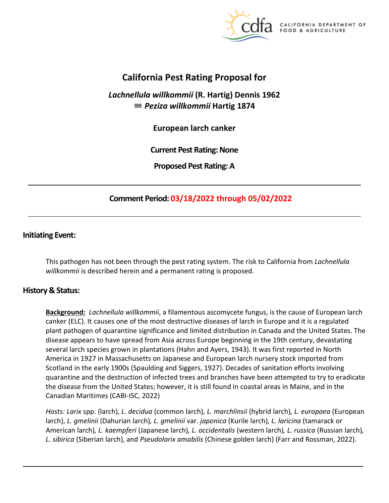

California DEPARTMENT OF FOOD & AGRICULTURE

# **California Pest Rating Proposal for**

*Lachnellula willkommii* **(R. Hartig) Dennis 1962**  ≡ *Peziza willkommii* **Hartig 1874** 

**European larch canker** 

**Current Pest Rating: None** 

**Proposed Pest Rating: A** 

# **Comment Period: 03/18/2022 through 05/02/2022**

### **Initiating Event:**

This pathogen has not been through the pest rating system. The risk to California from *Lachnellula willkommii* is described herein and a permanent rating is proposed.

### **History & Status:**

**Background:** *Lachnellula willkommii*, a filamentous ascomycete fungus, is the cause of European larch canker (ELC). It causes one of the most destructive diseases of larch in Europe and it is a regulated plant pathogen of quarantine significance and limited distribution in Canada and the United States. The disease appears to have spread from Asia across Europe beginning in the 19th century, devastating several larch species grown in plantations (Hahn and Ayers, 1943). It was first reported in North America in 1927 in Massachusetts on Japanese and European larch nursery stock imported from Scotland in the early 1900s (Spaulding and Siggers, 1927). Decades of sanitation efforts involving quarantine and the destruction of infected trees and branches have been attempted to try to eradicate the disease from the United States; however, it is still found in coastal areas in Maine, and in the Canadian Maritimes (CABI-ISC, 2022)

*Hosts: Larix* spp. (larch), *L. decidua* (common larch)*, L. marchlinsii* (hybrid larch)*, L. europaea* (European larch), *L. gmelinii* (Dahurian larch)*, L. gmelinii* var. *japonica* (Kurile larch)*, L. laricina* (tamarack or American larch)*, L. kaempferi* (Japanese larch)*, L. occidentalis* (western larch)*, L. russica* (Russian larch)*, L. sibirica* (Siberian larch), and *Pseudolarix amabilis* (Chinese golden larch) (Farr and Rossman, 2022).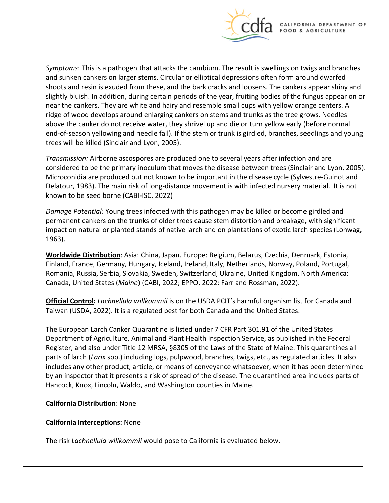

*Symptoms*: This is a pathogen that attacks the cambium. The result is swellings on twigs and branches and sunken cankers on larger stems. Circular or elliptical depressions often form around dwarfed shoots and resin is exuded from these, and the bark cracks and loosens. The cankers appear shiny and slightly bluish. In addition, during certain periods of the year, fruiting bodies of the fungus appear on or near the cankers. They are white and hairy and resemble small cups with yellow orange centers. A ridge of wood develops around enlarging cankers on stems and trunks as the tree grows. Needles above the canker do not receive water, they shrivel up and die or turn yellow early (before normal end-of-season yellowing and needle fall). If the stem or trunk is girdled, branches, seedlings and young trees will be killed (Sinclair and Lyon, 2005).

*Transmission:* Airborne ascospores are produced one to several years after infection and are considered to be the primary inoculum that moves the disease between trees (Sinclair and Lyon, 2005). Microconidia are produced but not known to be important in the disease cycle (Sylvestre-Guinot and Delatour, 1983). The main risk of long-distance movement is with infected nursery material. It is not known to be seed borne (CABI-ISC, 2022)

*Damage Potential:* Young trees infected with this pathogen may be killed or become girdled and permanent cankers on the trunks of older trees cause stem distortion and breakage, with significant impact on natural or planted stands of native larch and on plantations of exotic larch species (Lohwag, 1963).

**Worldwide Distribution**: Asia: China, Japan. Europe: Belgium, Belarus, Czechia, Denmark, Estonia, Finland, France, Germany, Hungary, Iceland, Ireland, Italy, Netherlands, Norway, Poland, Portugal, Romania, Russia, Serbia, Slovakia, Sweden, Switzerland, Ukraine, United Kingdom. North America: Canada, United States (*Maine*) (CABI, 2022; EPPO, 2022: Farr and Rossman, 2022).

**Official Control:** *Lachnellula willkommii* is on the USDA PCIT's harmful organism list for Canada and Taiwan (USDA, 2022). It is a regulated pest for both Canada and the United States.

The European Larch Canker Quarantine is listed under 7 CFR Part 301.91 of the United States Department of Agriculture, Animal and Plant Health Inspection Service, as published in the Federal Register, and also under Title 12 MRSA, §8305 of the Laws of the State of Maine. This quarantines all parts of larch (*Larix* spp.) including logs, pulpwood, branches, twigs, etc., as regulated articles. It also includes any other product, article, or means of conveyance whatsoever, when it has been determined by an inspector that it presents a risk of spread of the disease. The quarantined area includes parts of Hancock, Knox, Lincoln, Waldo, and Washington counties in Maine.

### **California Distribution**: None

#### **California Interceptions:** None

The risk *Lachnellula willkommii* would pose to California is evaluated below.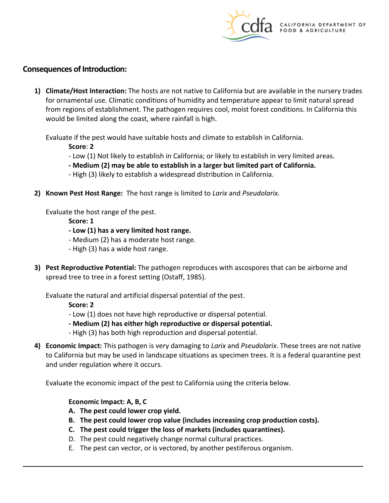

### **Consequences of Introduction:**

**1) Climate/Host Interaction:** The hosts are not native to California but are available in the nursery trades for ornamental use. Climatic conditions of humidity and temperature appear to limit natural spread from regions of establishment. The pathogen requires cool, moist forest conditions. In California this would be limited along the coast, where rainfall is high.

Evaluate if the pest would have suitable hosts and climate to establish in California.

**Score**: **2** 

- Low (1) Not likely to establish in California; or likely to establish in very limited areas.
- **- Medium (2) may be able to establish in a larger but limited part of California.**
- High (3) likely to establish a widespread distribution in California.
- **2) Known Pest Host Range:** The host range is limited to *Larix* and *Pseudolarix*.

Evaluate the host range of the pest.

- **Score: 1**
- **- Low (1) has a very limited host range.**
- Medium (2) has a moderate host range.
- High (3) has a wide host range.
- **3) Pest Reproductive Potential:** The pathogen reproduces with ascospores that can be airborne and spread tree to tree in a forest setting (Ostaff, 1985).

Evaluate the natural and artificial dispersal potential of the pest.

**Score: 2** 

- Low (1) does not have high reproductive or dispersal potential.
- **- Medium (2) has either high reproductive or dispersal potential.**
- High (3) has both high reproduction and dispersal potential.
- **4) Economic Impact:** This pathogen is very damaging to *Larix* and *Pseudolarix*. These trees are not native to California but may be used in landscape situations as specimen trees. It is a federal quarantine pest and under regulation where it occurs.

Evaluate the economic impact of the pest to California using the criteria below.

### **Economic Impact: A, B, C**

- **A. The pest could lower crop yield.**
- **B. The pest could lower crop value (includes increasing crop production costs).**
- **C. The pest could trigger the loss of markets (includes quarantines).**
- D. The pest could negatively change normal cultural practices.
- E. The pest can vector, or is vectored, by another pestiferous organism.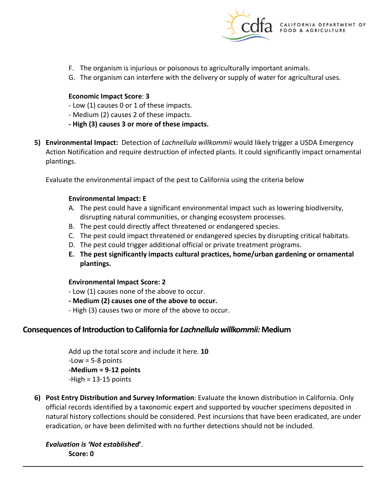

- F. The organism is injurious or poisonous to agriculturally important animals.
- G. The organism can interfere with the delivery or supply of water for agricultural uses.

#### **Economic Impact Score**: **3**

- Low (1) causes 0 or 1 of these impacts.
- Medium (2) causes 2 of these impacts.
- **- High (3) causes 3 or more of these impacts.**
- **5) Environmental Impact:** Detection of *Lachnellula willkommii* would likely trigger a USDA Emergency Action Notification and require destruction of infected plants. It could significantly impact ornamental plantings.

Evaluate the environmental impact of the pest to California using the criteria below

#### **Environmental Impact: E**

- A. The pest could have a significant environmental impact such as lowering biodiversity, disrupting natural communities, or changing ecosystem processes.
- B. The pest could directly affect threatened or endangered species.
- C. The pest could impact threatened or endangered species by disrupting critical habitats.
- D. The pest could trigger additional official or private treatment programs.
- **E. The pest significantly impacts cultural practices, home/urban gardening or ornamental plantings.**

#### **Environmental Impact Score: 2**

- Low (1) causes none of the above to occur.
- **- Medium (2) causes one of the above to occur.**
- High (3) causes two or more of the above to occur.

### **Consequences of Introduction to California for** *Lachnellula willkommii:* **Medium**

Add up the total score and include it here. **10**  -Low = 5-8 points **-Medium = 9-12 points**  -High = 13-15 points

**6) Post Entry Distribution and Survey Information**: Evaluate the known distribution in California. Only official records identified by a taxonomic expert and supported by voucher specimens deposited in natural history collections should be considered. Pest incursions that have been eradicated, are under eradication, or have been delimited with no further detections should not be included.

*Evaluation is 'Not established***'**. **Score: 0**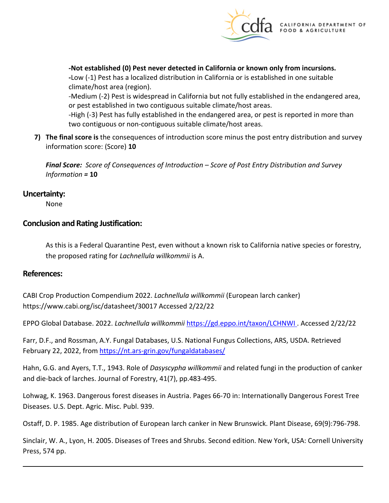

**-Not established (0) Pest never detected in California or known only from incursions.** 

**-**Low (-1) Pest has a localized distribution in California or is established in one suitable climate/host area (region).

-Medium (-2) Pest is widespread in California but not fully established in the endangered area, or pest established in two contiguous suitable climate/host areas.

-High (-3) Pest has fully established in the endangered area, or pest is reported in more than two contiguous or non-contiguous suitable climate/host areas.

**7) The final score is** the consequences of introduction score minus the post entry distribution and survey information score: (Score) **10** 

*Final Score: Score of Consequences of Introduction – Score of Post Entry Distribution and Survey Information =* **10** 

### **Uncertainty:**

None

### **Conclusion and Rating Justification:**

As this is a Federal Quarantine Pest, even without a known risk to California native species or forestry, the proposed rating for *Lachnellula willkommii* is A.

### **References:**

CABI Crop Production Compendium 2022. *Lachnellula willkommii* (European larch canker) <https://www.cabi.org/isc/datasheet/30017> Accessed 2/22/22

EPPO Global Database. 2022. *Lachnellula willkommii* [https://gd.eppo.int/taxon/LCHNWI .](https://gd.eppo.int/taxon/LCHNWI) Accessed 2/22/22

Farr, D.F., and Rossman, A.Y. Fungal Databases, U.S. National Fungus Collections, ARS, USDA. Retrieved February 22, 2022, fro[m https://nt.ars-grin.gov/fungaldatabases/](https://nt.ars-grin.gov/fungaldatabases/) 

Hahn, G.G. and Ayers, T.T., 1943. Role of *Dasyscypha willkommii* and related fungi in the production of canker and die-back of larches. Journal of Forestry, 41(7), pp.483-495.

Lohwag, K. 1963. Dangerous forest diseases in Austria. Pages 66-70 in: Internationally Dangerous Forest Tree Diseases. U.S. Dept. Agric. Misc. Publ. 939.

Ostaff, D. P. 1985. Age distribution of European larch canker in New Brunswick. Plant Disease, 69(9):796-798.

Sinclair, W. A., Lyon, H. 2005. Diseases of Trees and Shrubs. Second edition. New York, USA: Cornell University Press, 574 pp.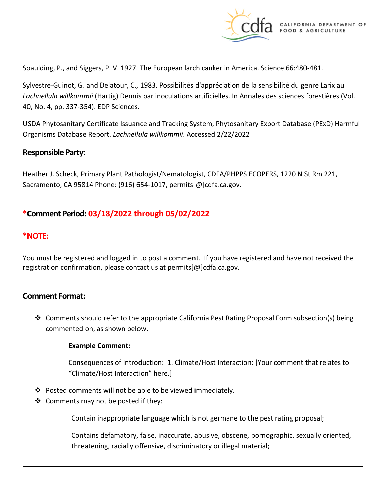

Spaulding, P., and Siggers, P. V. 1927. The European larch canker in America. Science 66:480-481.

Sylvestre-Guinot, G. and Delatour, C., 1983. Possibilités d'appréciation de la sensibilité du genre Larix au *Lachnellula willkommii* (Hartig) Dennis par inoculations artificielles. In Annales des sciences forestières (Vol. 40, No. 4, pp. 337-354). EDP Sciences.

USDA Phytosanitary Certificate Issuance and Tracking System, Phytosanitary Export Database (PExD) Harmful Organisms Database Report. *Lachnellula willkommii*. Accessed 2/22/2022

#### **Responsible Party:**

Heather J. Scheck, Primary Plant Pathologist/Nematologist, CDFA/PHPPS ECOPERS, 1220 N St Rm 221, Sacramento, CA 95814 Phone: (916) 654-1017, [permits\[@\]cdfa.ca.gov](https://permits[@]cdfa.ca.gov).

## **\*Comment Period: 03/18/2022 through 05/02/2022**

### **\*NOTE:**

You must be registered and logged in to post a comment. If you have registered and have not received the registration confirmation, please contact us at [permits\[@\]cdfa.ca.gov](https://permits[@]cdfa.ca.gov).

#### **Comment Format:**

 $\clubsuit$  Comments should refer to the appropriate California Pest Rating Proposal Form subsection(s) being commented on, as shown below.

#### **Example Comment:**

Consequences of Introduction: 1. Climate/Host Interaction: [Your comment that relates to "Climate/Host Interaction" here.]

- $\cdot \cdot$  Posted comments will not be able to be viewed immediately.
- $\triangleleft$  Comments may not be posted if they:

Contain inappropriate language which is not germane to the pest rating proposal;

Contains defamatory, false, inaccurate, abusive, obscene, pornographic, sexually oriented, threatening, racially offensive, discriminatory or illegal material;